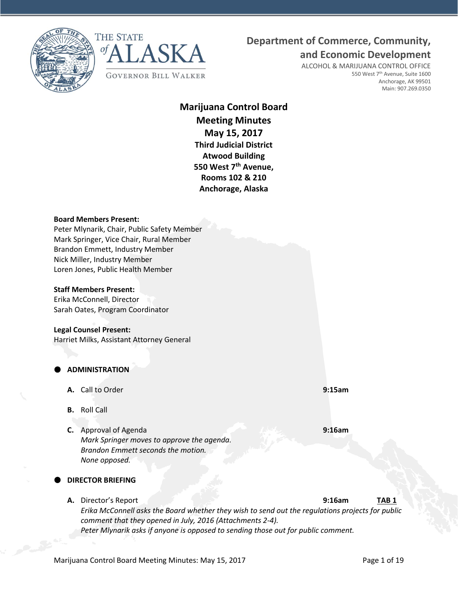



## **Department of Commerce, Community,**

**and Economic Development**

ALCOHOL & MARIJUANA CONTROL OFFICE 550 West 7<sup>th</sup> Avenue, Suite 1600 Anchorage, AK 99501 Main: 907.269.0350

## **Marijuana Control Board Meeting Minutes May 15, 2017 Third Judicial District Atwood Building 550 West 7th Avenue, Rooms 102 & 210 Anchorage, Alaska**

#### **Board Members Present:**

Peter Mlynarik, Chair, Public Safety Member Mark Springer, Vice Chair, Rural Member Brandon Emmett, Industry Member Nick Miller, Industry Member Loren Jones, Public Health Member

#### **Staff Members Present:**

Erika McConnell, Director Sarah Oates, Program Coordinator

#### **Legal Counsel Present:**

Harriet Milks, Assistant Attorney General

## **ADMINISTRATION**

- **A.** Call to Order **9:15am**
- **B.** Roll Call
- **C.** Approval of Agenda **9:16am** *Mark Springer moves to approve the agenda. Brandon Emmett seconds the motion. None opposed.*

## **DIRECTOR BRIEFING**

**A.** Director's Report **9:16am TAB 1** *Erika McConnell asks the Board whether they wish to send out the regulations projects for public comment that they opened in July, 2016 (Attachments 2-4). Peter Mlynarik asks if anyone is opposed to sending those out for public comment.*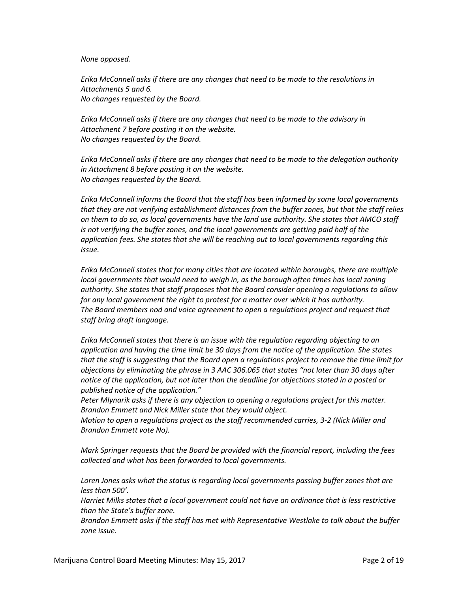#### *None opposed.*

*Erika McConnell asks if there are any changes that need to be made to the resolutions in Attachments 5 and 6. No changes requested by the Board.*

*Erika McConnell asks if there are any changes that need to be made to the advisory in Attachment 7 before posting it on the website. No changes requested by the Board.*

*Erika McConnell asks if there are any changes that need to be made to the delegation authority in Attachment 8 before posting it on the website. No changes requested by the Board.*

*Erika McConnell informs the Board that the staff has been informed by some local governments that they are not verifying establishment distances from the buffer zones, but that the staff relies on them to do so, as local governments have the land use authority. She states that AMCO staff*  is not verifying the buffer zones, and the local governments are getting paid half of the *application fees. She states that she will be reaching out to local governments regarding this issue.*

*Erika McConnell states that for many cities that are located within boroughs, there are multiple local governments that would need to weigh in, as the borough often times has local zoning authority. She states that staff proposes that the Board consider opening a regulations to allow for any local government the right to protest for a matter over which it has authority. The Board members nod and voice agreement to open a regulations project and request that staff bring draft language.*

*Erika McConnell states that there is an issue with the regulation regarding objecting to an application and having the time limit be 30 days from the notice of the application. She states that the staff is suggesting that the Board open a regulations project to remove the time limit for objections by eliminating the phrase in 3 AAC 306.065 that states "not later than 30 days after notice of the application, but not later than the deadline for objections stated in a posted or published notice of the application."*

*Peter Mlynarik asks if there is any objection to opening a regulations project for this matter. Brandon Emmett and Nick Miller state that they would object.*

*Motion to open a regulations project as the staff recommended carries, 3-2 (Nick Miller and Brandon Emmett vote No).*

*Mark Springer requests that the Board be provided with the financial report, including the fees collected and what has been forwarded to local governments.*

*Loren Jones asks what the status is regarding local governments passing buffer zones that are less than 500'.*

*Harriet Milks states that a local government could not have an ordinance that is less restrictive than the State's buffer zone.*

*Brandon Emmett asks if the staff has met with Representative Westlake to talk about the buffer zone issue.*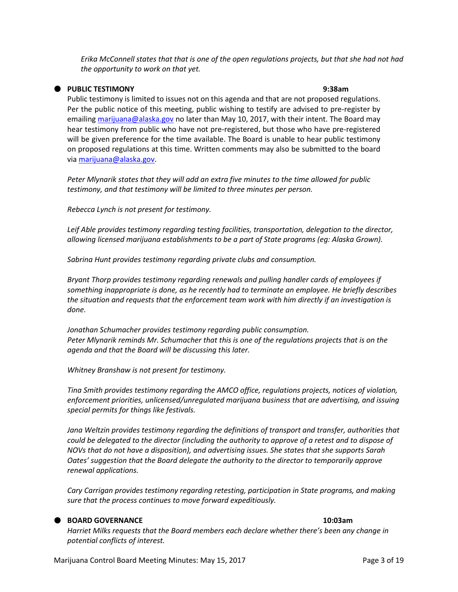*Erika McConnell states that that is one of the open regulations projects, but that she had not had the opportunity to work on that yet.*

### **PUBLIC TESTIMONY 9:38am**

Public testimony is limited to issues not on this agenda and that are not proposed regulations. Per the public notice of this meeting, public wishing to testify are advised to pre-register by emailin[g marijuana@alaska.gov](mailto:marijuana@alaska.gov) no later than May 10, 2017, with their intent. The Board may hear testimony from public who have not pre-registered, but those who have pre-registered will be given preference for the time available. The Board is unable to hear public testimony on proposed regulations at this time. Written comments may also be submitted to the board via [marijuana@alaska.gov.](mailto:marijuana@alaska.gov)

*Peter Mlynarik states that they will add an extra five minutes to the time allowed for public testimony, and that testimony will be limited to three minutes per person.*

*Rebecca Lynch is not present for testimony.*

Leif Able provides testimony regarding testing facilities, transportation, delegation to the director, *allowing licensed marijuana establishments to be a part of State programs (eg: Alaska Grown).*

*Sabrina Hunt provides testimony regarding private clubs and consumption.*

*Bryant Thorp provides testimony regarding renewals and pulling handler cards of employees if something inappropriate is done, as he recently had to terminate an employee. He briefly describes the situation and requests that the enforcement team work with him directly if an investigation is done.*

*Jonathan Schumacher provides testimony regarding public consumption. Peter Mlynarik reminds Mr. Schumacher that this is one of the regulations projects that is on the agenda and that the Board will be discussing this later.*

*Whitney Branshaw is not present for testimony.*

*Tina Smith provides testimony regarding the AMCO office, regulations projects, notices of violation, enforcement priorities, unlicensed/unregulated marijuana business that are advertising, and issuing special permits for things like festivals.*

*Jana Weltzin provides testimony regarding the definitions of transport and transfer, authorities that could be delegated to the director (including the authority to approve of a retest and to dispose of NOVs that do not have a disposition), and advertising issues. She states that she supports Sarah Oates' suggestion that the Board delegate the authority to the director to temporarily approve renewal applications.*

*Cary Carrigan provides testimony regarding retesting, participation in State programs, and making sure that the process continues to move forward expeditiously.*

#### **BOARD GOVERNANCE 10:03am**

*Harriet Milks requests that the Board members each declare whether there's been any change in potential conflicts of interest.*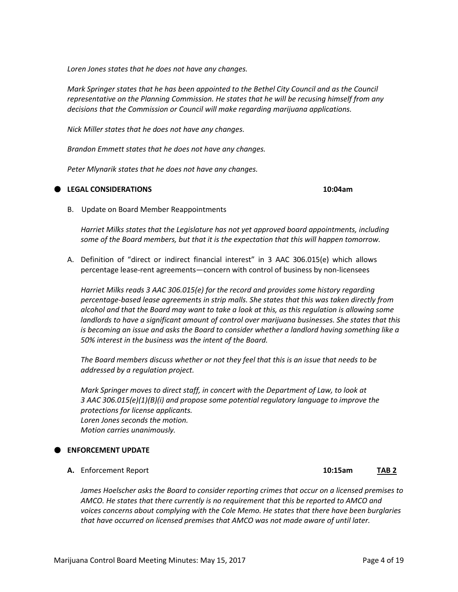*Mark Springer moves to direct staff, in concert with the Department of Law, to look at 3 AAC 306.015(e)(1)(B)(i) and propose some potential regulatory language to improve the protections for license applicants. Loren Jones seconds the motion. Motion carries unanimously.*

## **ENFORCEMENT UPDATE**

**A.** Enforcement Report **10:15am TAB 2**

*James Hoelscher asks the Board to consider reporting crimes that occur on a licensed premises to AMCO. He states that there currently is no requirement that this be reported to AMCO and voices concerns about complying with the Cole Memo. He states that there have been burglaries that have occurred on licensed premises that AMCO was not made aware of until later.*

*Loren Jones states that he does not have any changes.*

*Mark Springer states that he has been appointed to the Bethel City Council and as the Council representative on the Planning Commission. He states that he will be recusing himself from any decisions that the Commission or Council will make regarding marijuana applications.*

*Nick Miller states that he does not have any changes.*

*Brandon Emmett states that he does not have any changes.*

*Peter Mlynarik states that he does not have any changes.*

# B. Update on Board Member Reappointments

*Harriet Milks states that the Legislature has not yet approved board appointments, including some of the Board members, but that it is the expectation that this will happen tomorrow.*

A. Definition of "direct or indirect financial interest" in 3 AAC 306.015(e) which allows percentage lease-rent agreements—concern with control of business by non-licensees

*Harriet Milks reads 3 AAC 306.015(e) for the record and provides some history regarding percentage-based lease agreements in strip malls. She states that this was taken directly from alcohol and that the Board may want to take a look at this, as this regulation is allowing some landlords to have a significant amount of control over marijuana businesses. She states that this is becoming an issue and asks the Board to consider whether a landlord having something like a 50% interest in the business was the intent of the Board.*

*The Board members discuss whether or not they feel that this is an issue that needs to be addressed by a regulation project.*

**LEGAL CONSIDERATIONS 10:04am**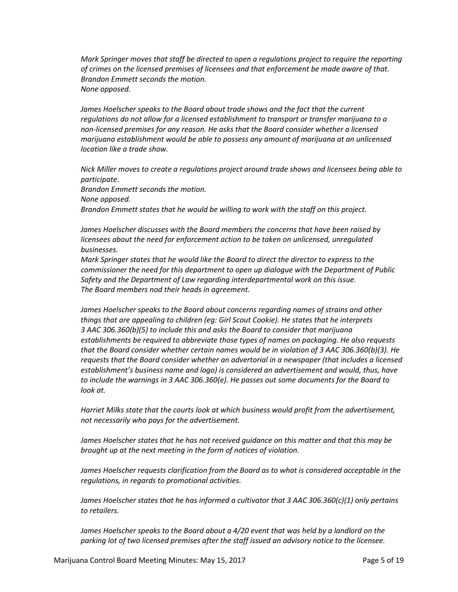*Mark Springer moves that staff be directed to open a regulations project to require the reporting of crimes on the licensed premises of licensees and that enforcement be made aware of that. Brandon Emmett seconds the motion. None opposed.*

*James Hoelscher speaks to the Board about trade shows and the fact that the current regulations do not allow for a licensed establishment to transport or transfer marijuana to a non-licensed premises for any reason. He asks that the Board consider whether a licensed marijuana establishment would be able to possess any amount of marijuana at an unlicensed location like a trade show.*

*Nick Miller moves to create a regulations project around trade shows and licensees being able to participate. Brandon Emmett seconds the motion. None opposed. Brandon Emmett states that he would be willing to work with the staff on this project.*

*James Hoelscher discusses with the Board members the concerns that have been raised by licensees about the need for enforcement action to be taken on unlicensed, unregulated businesses.*

*Mark Springer states that he would like the Board to direct the director to express to the commissioner the need for this department to open up dialogue with the Department of Public Safety and the Department of Law regarding interdepartmental work on this issue. The Board members nod their heads in agreement.*

*James Hoelscher speaks to the Board about concerns regarding names of strains and other things that are appealing to children (eg: Girl Scout Cookie). He states that he interprets 3 AAC 306.360(b)(5) to include this and asks the Board to consider that marijuana establishments be required to abbreviate those types of names on packaging. He also requests that the Board consider whether certain names would be in violation of 3 AAC 306.360(b)(3). He requests that the Board consider whether an advertorial in a newspaper (that includes a licensed establishment's business name and logo) is considered an advertisement and would, thus, have to include the warnings in 3 AAC 306.360(e). He passes out some documents for the Board to look at.*

*Harriet Milks state that the courts look at which business would profit from the advertisement, not necessarily who pays for the advertisement.*

*James Hoelscher states that he has not received guidance on this matter and that this may be brought up at the next meeting in the form of notices of violation.*

*James Hoelscher requests clarification from the Board as to what is considered acceptable in the regulations, in regards to promotional activities.*

*James Hoelscher states that he has informed a cultivator that 3 AAC 306.360(c)(1) only pertains to retailers.*

*James Hoelscher speaks to the Board about a 4/20 event that was held by a landlord on the parking lot of two licensed premises after the staff issued an advisory notice to the licensee.*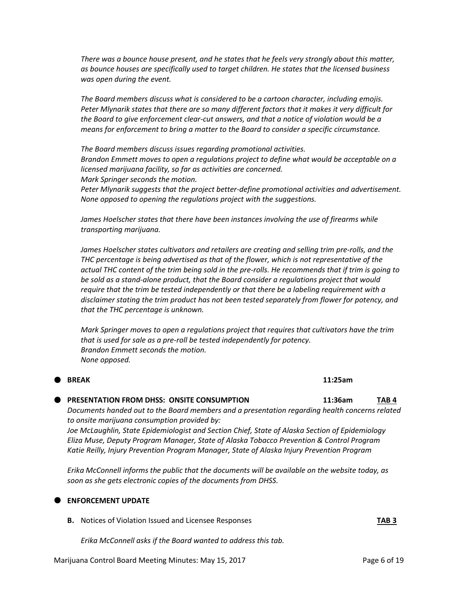*There was a bounce house present, and he states that he feels very strongly about this matter, as bounce houses are specifically used to target children. He states that the licensed business was open during the event.*

*The Board members discuss what is considered to be a cartoon character, including emojis. Peter Mlynarik states that there are so many different factors that it makes it very difficult for the Board to give enforcement clear-cut answers, and that a notice of violation would be a means for enforcement to bring a matter to the Board to consider a specific circumstance.*

*The Board members discuss issues regarding promotional activities. Brandon Emmett moves to open a regulations project to define what would be acceptable on a licensed marijuana facility, so far as activities are concerned. Mark Springer seconds the motion.*

*Peter Mlynarik suggests that the project better-define promotional activities and advertisement. None opposed to opening the regulations project with the suggestions.*

*James Hoelscher states that there have been instances involving the use of firearms while transporting marijuana.*

*James Hoelscher states cultivators and retailers are creating and selling trim pre-rolls, and the THC percentage is being advertised as that of the flower, which is not representative of the actual THC content of the trim being sold in the pre-rolls. He recommends that if trim is going to be sold as a stand-alone product, that the Board consider a regulations project that would require that the trim be tested independently or that there be a labeling requirement with a disclaimer stating the trim product has not been tested separately from flower for potency, and that the THC percentage is unknown.*

*Mark Springer moves to open a regulations project that requires that cultivators have the trim that is used for sale as a pre-roll be tested independently for potency. Brandon Emmett seconds the motion. None opposed.*

#### **BREAK 11:25am**

#### **PRESENTATION FROM DHSS: ONSITE CONSUMPTION <b>11:36am** TAB 4

*Documents handed out to the Board members and a presentation regarding health concerns related to onsite marijuana consumption provided by:*

*Joe McLaughlin, State Epidemiologist and Section Chief, State of Alaska Section of Epidemiology Eliza Muse, Deputy Program Manager, State of Alaska Tobacco Prevention & Control Program Katie Reilly, Injury Prevention Program Manager, State of Alaska Injury Prevention Program*

*Erika McConnell informs the public that the documents will be available on the website today, as soon as she gets electronic copies of the documents from DHSS.*

#### **ENFORCEMENT UPDATE**

**B.** Notices of Violation Issued and Licensee Responses **TAB 3**

*Erika McConnell asks if the Board wanted to address this tab.*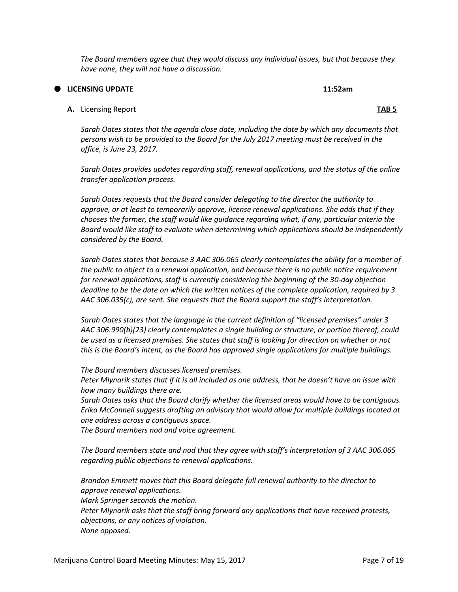*The Board members agree that they would discuss any individual issues, but that because they have none, they will not have a discussion.*

**LICENSING UPDATE 11:52am**

## **A.** Licensing Report **TAB 5**

*Sarah Oates states that the agenda close date, including the date by which any documents that persons wish to be provided to the Board for the July 2017 meeting must be received in the office, is June 23, 2017.*

*Sarah Oates provides updates regarding staff, renewal applications, and the status of the online transfer application process.*

*Sarah Oates requests that the Board consider delegating to the director the authority to approve, or at least to temporarily approve, license renewal applications. She adds that if they chooses the former, the staff would like guidance regarding what, if any, particular criteria the Board would like staff to evaluate when determining which applications should be independently considered by the Board.*

*Sarah Oates states that because 3 AAC 306.065 clearly contemplates the ability for a member of the public to object to a renewal application, and because there is no public notice requirement for renewal applications, staff is currently considering the beginning of the 30-day objection deadline to be the date on which the written notices of the complete application, required by 3 AAC 306.035(c), are sent. She requests that the Board support the staff's interpretation.*

*Sarah Oates states that the language in the current definition of "licensed premises" under 3 AAC 306.990(b)(23) clearly contemplates a single building or structure, or portion thereof, could be used as a licensed premises. She states that staff is looking for direction on whether or not this is the Board's intent, as the Board has approved single applications for multiple buildings.* 

*The Board members discusses licensed premises.*

*Peter Mlynarik states that if it is all included as one address, that he doesn't have an issue with how many buildings there are.*

*Sarah Oates asks that the Board clarify whether the licensed areas would have to be contiguous. Erika McConnell suggests drafting an advisory that would allow for multiple buildings located at one address across a contiguous space.*

*The Board members nod and voice agreement.*

*The Board members state and nod that they agree with staff's interpretation of 3 AAC 306.065 regarding public objections to renewal applications.*

*Brandon Emmett moves that this Board delegate full renewal authority to the director to approve renewal applications. Mark Springer seconds the motion. Peter Mlynarik asks that the staff bring forward any applications that have received protests, objections, or any notices of violation. None opposed.*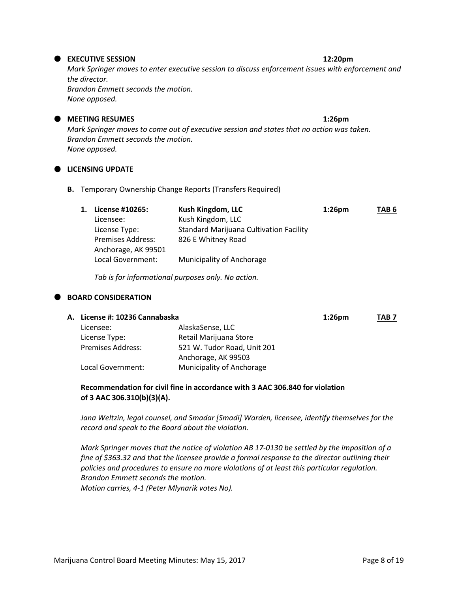## **EXECUTIVE SESSION 12:20pm**

*Mark Springer moves to enter executive session to discuss enforcement issues with enforcement and the director. Brandon Emmett seconds the motion.*

*None opposed.*

## **D** MEETING RESUMES **1:26pm**

*Mark Springer moves to come out of executive session and states that no action was taken. Brandon Emmett seconds the motion. None opposed.*

## **LICENSING UPDATE**

**B.** Temporary Ownership Change Reports (Transfers Required)

| 1. | License #10265:          | <b>Kush Kingdom, LLC</b>                       | $1:26$ pm | TAB <sub>6</sub> |
|----|--------------------------|------------------------------------------------|-----------|------------------|
|    | Licensee:                | Kush Kingdom, LLC                              |           |                  |
|    | License Type:            | <b>Standard Marijuana Cultivation Facility</b> |           |                  |
|    | <b>Premises Address:</b> | 826 E Whitney Road                             |           |                  |
|    | Anchorage, AK 99501      |                                                |           |                  |
|    | Local Government:        | Municipality of Anchorage                      |           |                  |

*Tab is for informational purposes only. No action.*

## **BOARD CONSIDERATION**

|                          |                             | $1:26$ pm                      | TAB <sub>7</sub> |
|--------------------------|-----------------------------|--------------------------------|------------------|
| Licensee:                | AlaskaSense, LLC            |                                |                  |
| License Type:            | Retail Marijuana Store      |                                |                  |
| <b>Premises Address:</b> | 521 W. Tudor Road, Unit 201 |                                |                  |
|                          | Anchorage, AK 99503         |                                |                  |
| Local Government:        | Municipality of Anchorage   |                                |                  |
|                          |                             | A. License #: 10236 Cannabaska |                  |

## **Recommendation for civil fine in accordance with 3 AAC 306.840 for violation of 3 AAC 306.310(b)(3)(A).**

*Jana Weltzin, legal counsel, and Smadar [Smadi] Warden, licensee, identify themselves for the record and speak to the Board about the violation.*

*Mark Springer moves that the notice of violation AB 17-0130 be settled by the imposition of a fine of \$363.32 and that the licensee provide a formal response to the director outlining their policies and procedures to ensure no more violations of at least this particular regulation. Brandon Emmett seconds the motion. Motion carries, 4-1 (Peter Mlynarik votes No).*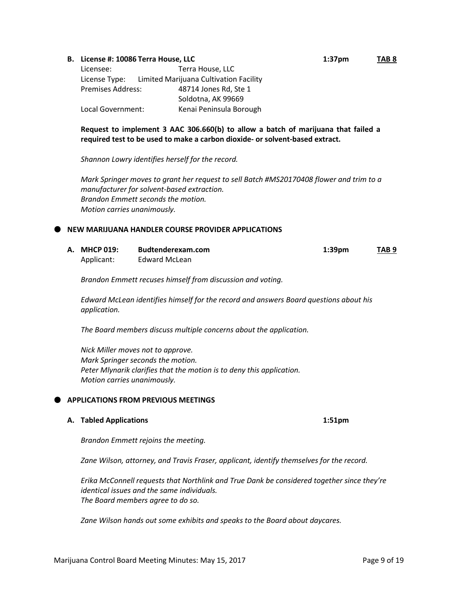#### **B. License #: 10086 Terra House, LLC 1:37pm TAB 8**

| Terra House, LLC<br>Licensee:                           |                         |
|---------------------------------------------------------|-------------------------|
| Limited Marijuana Cultivation Facility<br>License Type: |                         |
| Premises Address:                                       | 48714 Jones Rd, Ste 1   |
|                                                         | Soldotna, AK 99669      |
| Local Government:                                       | Kenai Peninsula Borough |

## **Request to implement 3 AAC 306.660(b) to allow a batch of marijuana that failed a required test to be used to make a carbon dioxide- or solvent-based extract.**

*Shannon Lowry identifies herself for the record.*

*Mark Springer moves to grant her request to sell Batch #MS20170408 flower and trim to a manufacturer for solvent-based extraction. Brandon Emmett seconds the motion. Motion carries unanimously.*

#### **NEW MARIJUANA HANDLER COURSE PROVIDER APPLICATIONS**

| A. MHCP 019: | Budtenderexam.com | $1:39$ pm | TAB <sub>9</sub><br>$\overline{\phantom{a}}$ . The contract of $\overline{\phantom{a}}$ |
|--------------|-------------------|-----------|-----------------------------------------------------------------------------------------|
| Applicant:   | Edward McLean     |           |                                                                                         |

*Brandon Emmett recuses himself from discussion and voting.*

*Edward McLean identifies himself for the record and answers Board questions about his application.*

*The Board members discuss multiple concerns about the application.*

*Nick Miller moves not to approve. Mark Springer seconds the motion. Peter Mlynarik clarifies that the motion is to deny this application. Motion carries unanimously.*

## **APPLICATIONS FROM PREVIOUS MEETINGS**

### **A. Tabled Applications 1:51pm**

*Brandon Emmett rejoins the meeting.*

*Zane Wilson, attorney, and Travis Fraser, applicant, identify themselves for the record.*

*Erika McConnell requests that Northlink and True Dank be considered together since they're identical issues and the same individuals. The Board members agree to do so.*

*Zane Wilson hands out some exhibits and speaks to the Board about daycares.*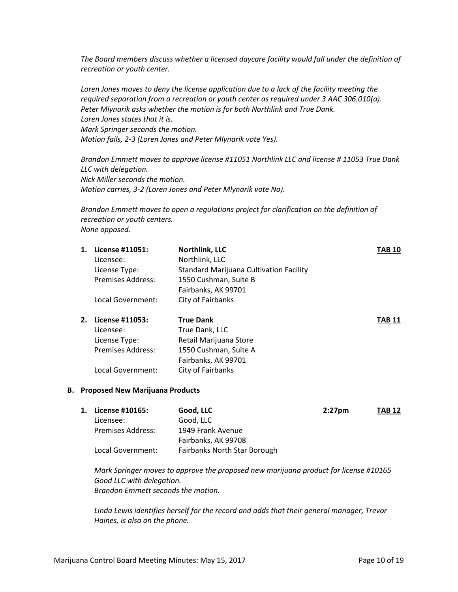*The Board members discuss whether a licensed daycare facility would fall under the definition of recreation or youth center.*

*Loren Jones moves to deny the license application due to a lack of the facility meeting the required separation from a recreation or youth center as required under 3 AAC 306.010(a). Peter Mlynarik asks whether the motion is for both Northlink and True Dank. Loren Jones states that it is. Mark Springer seconds the motion. Motion fails, 2-3 (Loren Jones and Peter Mlynarik vote Yes).*

*Brandon Emmett moves to approve license #11051 Northlink LLC and license # 11053 True Dank LLC with delegation. Nick Miller seconds the motion. Motion carries, 3-2 (Loren Jones and Peter Mlynarik vote No).*

*Brandon Emmett moves to open a regulations project for clarification on the definition of recreation or youth centers. None opposed.*

| 1. | License #11051:          | Northlink, LLC                          | <b>TAB 10</b> |
|----|--------------------------|-----------------------------------------|---------------|
|    | Licensee:                | Northlink, LLC                          |               |
|    | License Type:            | Standard Marijuana Cultivation Facility |               |
|    | <b>Premises Address:</b> | 1550 Cushman, Suite B                   |               |
|    |                          | Fairbanks, AK 99701                     |               |
|    | Local Government:        | City of Fairbanks                       |               |
| 2. | License #11053:          | <b>True Dank</b>                        | <b>TAB 11</b> |
|    | Licensee:                | True Dank, LLC                          |               |
|    | License Type:            | Retail Marijuana Store                  |               |
|    |                          |                                         |               |
|    | <b>Premises Address:</b> | 1550 Cushman, Suite A                   |               |
|    |                          | Fairbanks, AK 99701                     |               |
|    | Local Government:        | City of Fairbanks                       |               |

#### **B. Proposed New Marijuana Products**

| 1. License #10165:       | Good, LLC                    | $2:27$ pm | <b>TAB 12</b> |
|--------------------------|------------------------------|-----------|---------------|
| Licensee:                | Good, LLC                    |           |               |
| <b>Premises Address:</b> | 1949 Frank Avenue            |           |               |
|                          | Fairbanks, AK 99708          |           |               |
| Local Government:        | Fairbanks North Star Borough |           |               |

*Mark Springer moves to approve the proposed new marijuana product for license #10165 Good LLC with delegation. Brandon Emmett seconds the motion.*

*Linda Lewis identifies herself for the record and adds that their general manager, Trevor Haines, is also on the phone.*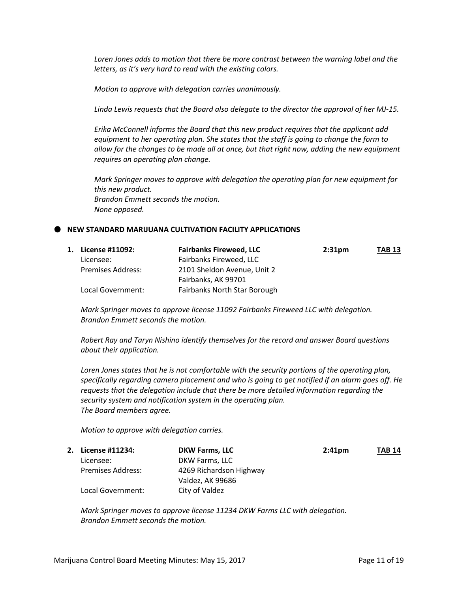*Loren Jones adds to motion that there be more contrast between the warning label and the letters, as it's very hard to read with the existing colors.*

*Motion to approve with delegation carries unanimously.*

*Linda Lewis requests that the Board also delegate to the director the approval of her MJ-15.*

*Erika McConnell informs the Board that this new product requires that the applicant add equipment to her operating plan. She states that the staff is going to change the form to allow for the changes to be made all at once, but that right now, adding the new equipment requires an operating plan change.*

*Mark Springer moves to approve with delegation the operating plan for new equipment for this new product. Brandon Emmett seconds the motion. None opposed.*

### **NEW STANDARD MARIJUANA CULTIVATION FACILITY APPLICATIONS**

| 1. License #11092:       | <b>Fairbanks Fireweed, LLC</b> | 2:31 <sub>pm</sub> | <b>TAB 13</b> |
|--------------------------|--------------------------------|--------------------|---------------|
| Licensee:                | Fairbanks Fireweed, LLC        |                    |               |
| <b>Premises Address:</b> | 2101 Sheldon Avenue, Unit 2    |                    |               |
|                          | Fairbanks, AK 99701            |                    |               |
| Local Government:        | Fairbanks North Star Borough   |                    |               |

*Mark Springer moves to approve license 11092 Fairbanks Fireweed LLC with delegation. Brandon Emmett seconds the motion.*

*Robert Ray and Taryn Nishino identify themselves for the record and answer Board questions about their application.*

*Loren Jones states that he is not comfortable with the security portions of the operating plan, specifically regarding camera placement and who is going to get notified if an alarm goes off. He requests that the delegation include that there be more detailed information regarding the security system and notification system in the operating plan. The Board members agree.*

*Motion to approve with delegation carries.*

| 2. License #11234: | <b>DKW Farms, LLC</b>   | 2:41 <sub>pm</sub> | <b>TAB 14</b> |
|--------------------|-------------------------|--------------------|---------------|
| Licensee:          | DKW Farms, LLC          |                    |               |
| Premises Address:  | 4269 Richardson Highway |                    |               |
|                    | Valdez, AK 99686        |                    |               |
| Local Government:  | City of Valdez          |                    |               |

*Mark Springer moves to approve license 11234 DKW Farms LLC with delegation. Brandon Emmett seconds the motion.*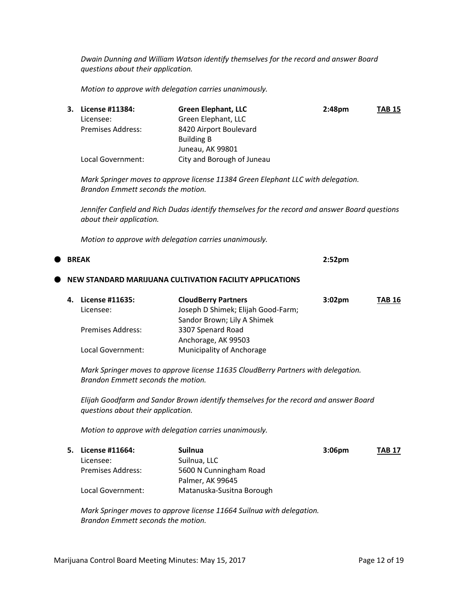*Dwain Dunning and William Watson identify themselves for the record and answer Board questions about their application.*

*Motion to approve with delegation carries unanimously.*

|    | 3. License #11384:                 | <b>Green Elephant, LLC</b>                                                                     | 2:48pm             | <b>TAB 15</b> |
|----|------------------------------------|------------------------------------------------------------------------------------------------|--------------------|---------------|
|    | Licensee:                          | Green Elephant, LLC                                                                            |                    |               |
|    | <b>Premises Address:</b>           | 8420 Airport Boulevard                                                                         |                    |               |
|    |                                    | <b>Building B</b>                                                                              |                    |               |
|    |                                    | Juneau, AK 99801                                                                               |                    |               |
|    | Local Government:                  | City and Borough of Juneau                                                                     |                    |               |
|    |                                    |                                                                                                |                    |               |
|    | Brandon Emmett seconds the motion. | Mark Springer moves to approve license 11384 Green Elephant LLC with delegation.               |                    |               |
|    | about their application.           | Jennifer Canfield and Rich Dudas identify themselves for the record and answer Board questions |                    |               |
|    |                                    | Motion to approve with delegation carries unanimously.                                         |                    |               |
|    | <b>BREAK</b>                       |                                                                                                | 2:52 <sub>pm</sub> |               |
|    |                                    | NEW STANDARD MARIJUANA CULTIVATION FACILITY APPLICATIONS                                       |                    |               |
| 4. | License #11635:                    | <b>CloudBerry Partners</b>                                                                     | 3:02pm             | <b>TAB 16</b> |
|    | Licensee:                          | Joseph D Shimek; Elijah Good-Farm;                                                             |                    |               |
|    |                                    | Sandor Brown; Lily A Shimek                                                                    |                    |               |
|    | Premises Address:                  | 3307 Spenard Road                                                                              |                    |               |
|    |                                    | Anchorage, AK 99503                                                                            |                    |               |
|    | Local Government:                  | Municipality of Anchorage                                                                      |                    |               |
|    | Brandon Emmett seconds the motion. | Mark Springer moves to approve license 11635 CloudBerry Partners with delegation.              |                    |               |
|    | questions about their application. | Elijah Goodfarm and Sandor Brown identify themselves for the record and answer Board           |                    |               |
|    |                                    | Motion to approve with delegation carries unanimously.                                         |                    |               |
| 5. | License #11664:                    | <b>Suilnua</b>                                                                                 | 3:06pm             | TAB 17        |
|    | Licensee:                          | Suilnua, LLC                                                                                   |                    |               |

*Mark Springer moves to approve license 11664 Suilnua with delegation. Brandon Emmett seconds the motion.*

Palmer, AK 99645

Premises Address: 5600 N Cunningham Road

Local Government: Matanuska-Susitna Borough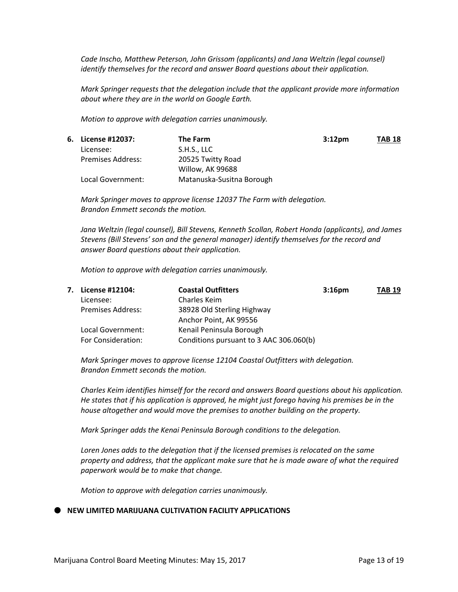*Cade Inscho, Matthew Peterson, John Grissom (applicants) and Jana Weltzin (legal counsel) identify themselves for the record and answer Board questions about their application.*

*Mark Springer requests that the delegation include that the applicant provide more information about where they are in the world on Google Earth.*

*Motion to approve with delegation carries unanimously.*

| 6. License #12037:       | The Farm                  | 3:12 <sub>pm</sub> | <b>TAB 18</b> |
|--------------------------|---------------------------|--------------------|---------------|
| Licensee:                | S.H.S., LLC               |                    |               |
| <b>Premises Address:</b> | 20525 Twitty Road         |                    |               |
|                          | Willow, AK 99688          |                    |               |
| Local Government:        | Matanuska-Susitna Borough |                    |               |

*Mark Springer moves to approve license 12037 The Farm with delegation. Brandon Emmett seconds the motion.*

*Jana Weltzin (legal counsel), Bill Stevens, Kenneth Scollan, Robert Honda (applicants), and James Stevens (Bill Stevens' son and the general manager) identify themselves for the record and answer Board questions about their application.*

*Motion to approve with delegation carries unanimously.*

| 7. | License #12104:          | <b>Coastal Outfitters</b>               | 3:16 <sub>pm</sub> | <b>TAB 19</b> |
|----|--------------------------|-----------------------------------------|--------------------|---------------|
|    | Licensee:                | Charles Keim                            |                    |               |
|    | <b>Premises Address:</b> | 38928 Old Sterling Highway              |                    |               |
|    |                          | Anchor Point, AK 99556                  |                    |               |
|    | Local Government:        | Kenail Peninsula Borough                |                    |               |
|    | For Consideration:       | Conditions pursuant to 3 AAC 306.060(b) |                    |               |

*Mark Springer moves to approve license 12104 Coastal Outfitters with delegation. Brandon Emmett seconds the motion.*

*Charles Keim identifies himself for the record and answers Board questions about his application. He states that if his application is approved, he might just forego having his premises be in the house altogether and would move the premises to another building on the property.*

*Mark Springer adds the Kenai Peninsula Borough conditions to the delegation.*

*Loren Jones adds to the delegation that if the licensed premises is relocated on the same property and address, that the applicant make sure that he is made aware of what the required paperwork would be to make that change.*

*Motion to approve with delegation carries unanimously.*

#### **NEW LIMITED MARIJUANA CULTIVATION FACILITY APPLICATIONS**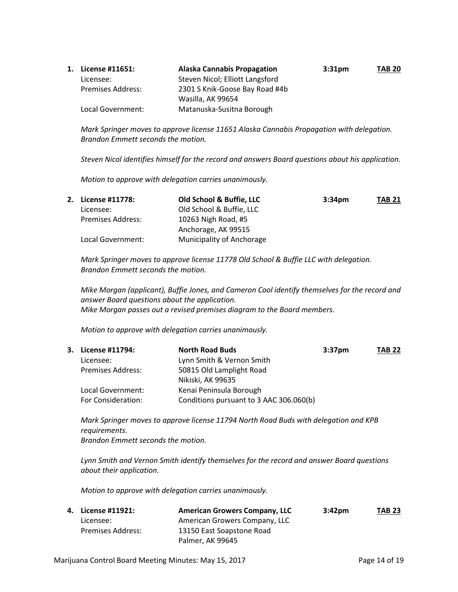| 1. | License #11651:          | <b>Alaska Cannabis Propagation</b> | 3:31 <sub>pm</sub> | <b>TAB 20</b> |
|----|--------------------------|------------------------------------|--------------------|---------------|
|    | Licensee:                | Steven Nicol; Elliott Langsford    |                    |               |
|    | <b>Premises Address:</b> | 2301 S Knik-Goose Bay Road #4b     |                    |               |
|    |                          | Wasilla, AK 99654                  |                    |               |
|    | Local Government:        | Matanuska-Susitna Borough          |                    |               |

*Mark Springer moves to approve license 11651 Alaska Cannabis Propagation with delegation. Brandon Emmett seconds the motion.*

*Steven Nicol identifies himself for the record and answers Board questions about his application.*

*Motion to approve with delegation carries unanimously.*

| 2. License #11778:       | Old School & Buffie, LLC  | 3:34 <sub>pm</sub> | TAB 21 |
|--------------------------|---------------------------|--------------------|--------|
| Licensee:                | Old School & Buffie, LLC  |                    |        |
| <b>Premises Address:</b> | 10263 Nigh Road, #5       |                    |        |
|                          | Anchorage, AK 99515       |                    |        |
| Local Government:        | Municipality of Anchorage |                    |        |

*Mark Springer moves to approve license 11778 Old School & Buffie LLC with delegation. Brandon Emmett seconds the motion.*

*Mike Morgan (applicant), Buffie Jones, and Cameron Cool identify themselves for the record and answer Board questions about the application. Mike Morgan passes out a revised premises diagram to the Board members.*

*Motion to approve with delegation carries unanimously.*

| 3. License #11794:       | <b>North Road Buds</b>                  | 3:37 <sub>pm</sub> | <b>TAB 22</b> |
|--------------------------|-----------------------------------------|--------------------|---------------|
| Licensee:                | Lynn Smith & Vernon Smith               |                    |               |
| <b>Premises Address:</b> | 50815 Old Lamplight Road                |                    |               |
|                          | Nikiski, AK 99635                       |                    |               |
| Local Government:        | Kenai Peninsula Borough                 |                    |               |
| For Consideration:       | Conditions pursuant to 3 AAC 306.060(b) |                    |               |

*Mark Springer moves to approve license 11794 North Road Buds with delegation and KPB requirements. Brandon Emmett seconds the motion.*

*Lynn Smith and Vernon Smith identify themselves for the record and answer Board questions about their application.*

*Motion to approve with delegation carries unanimously.*

| 4. License #11921: | <b>American Growers Company, LLC</b> | 3:42 <sub>pm</sub> | <b>TAB 23</b> |
|--------------------|--------------------------------------|--------------------|---------------|
| Licensee:          | American Growers Company, LLC        |                    |               |
| Premises Address:  | 13150 East Soapstone Road            |                    |               |
|                    | Palmer, AK 99645                     |                    |               |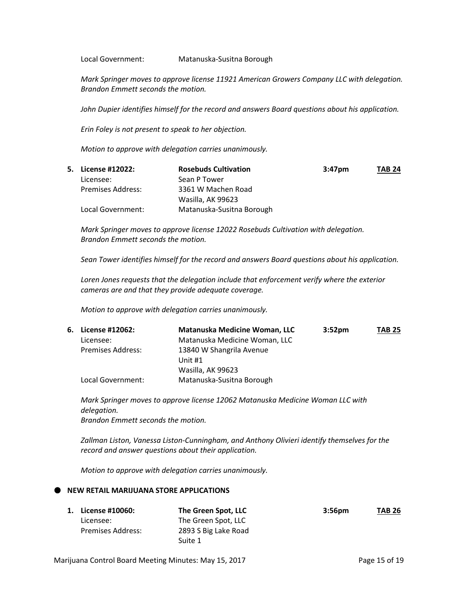Local Government: Matanuska-Susitna Borough

*Mark Springer moves to approve license 11921 American Growers Company LLC with delegation. Brandon Emmett seconds the motion.*

*John Dupier identifies himself for the record and answers Board questions about his application.*

*Erin Foley is not present to speak to her objection.*

*Motion to approve with delegation carries unanimously.*

| 5. License #12022: | <b>Rosebuds Cultivation</b> | $3:47$ pm | <b>TAB 24</b> |
|--------------------|-----------------------------|-----------|---------------|
| Licensee:          | Sean P Tower                |           |               |
| Premises Address:  | 3361 W Machen Road          |           |               |
|                    | Wasilla, AK 99623           |           |               |
| Local Government:  | Matanuska-Susitna Borough   |           |               |

*Mark Springer moves to approve license 12022 Rosebuds Cultivation with delegation. Brandon Emmett seconds the motion.*

*Sean Tower identifies himself for the record and answers Board questions about his application.*

*Loren Jones requests that the delegation include that enforcement verify where the exterior cameras are and that they provide adequate coverage.*

*Motion to approve with delegation carries unanimously.*

|                          | <b>Matanuska Medicine Woman, LLC</b> | 3:52 <sub>pm</sub> | <b>TAB 25</b> |
|--------------------------|--------------------------------------|--------------------|---------------|
| Licensee:                | Matanuska Medicine Woman, LLC        |                    |               |
| <b>Premises Address:</b> | 13840 W Shangrila Avenue             |                    |               |
|                          | Unit #1                              |                    |               |
|                          | Wasilla, AK 99623                    |                    |               |
| Local Government:        | Matanuska-Susitna Borough            |                    |               |
|                          | 6. License #12062:                   |                    |               |

*Mark Springer moves to approve license 12062 Matanuska Medicine Woman LLC with delegation. Brandon Emmett seconds the motion.*

*Zallman Liston, Vanessa Liston-Cunningham, and Anthony Olivieri identify themselves for the record and answer questions about their application.*

*Motion to approve with delegation carries unanimously.*

## **NEW RETAIL MARIJUANA STORE APPLICATIONS**

| 1. License #10060:       | The Green Spot, LLC  | 3:56 <sub>pm</sub> | <b>TAB 26</b> |
|--------------------------|----------------------|--------------------|---------------|
| Licensee:                | The Green Spot, LLC  |                    |               |
| <b>Premises Address:</b> | 2893 S Big Lake Road |                    |               |
|                          | Suite 1              |                    |               |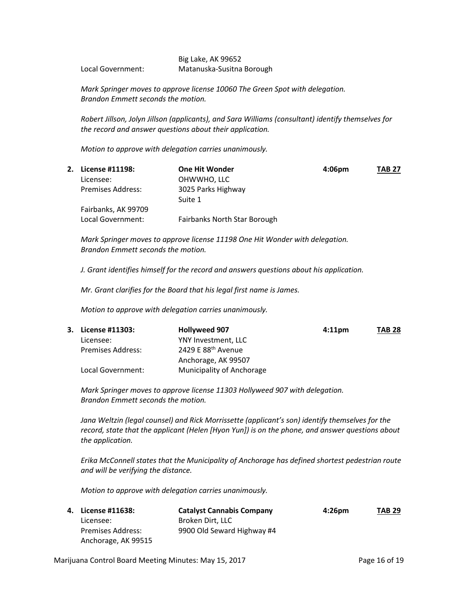### Big Lake, AK 99652 Local Government: Matanuska-Susitna Borough

*Mark Springer moves to approve license 10060 The Green Spot with delegation. Brandon Emmett seconds the motion.*

*Robert Jillson, Jolyn Jillson (applicants), and Sara Williams (consultant) identify themselves for the record and answer questions about their application.*

*Motion to approve with delegation carries unanimously.*

| License #11198:          | <b>One Hit Wonder</b>         | 4:06 <sub>pm</sub> | <b>TAB 27</b> |
|--------------------------|-------------------------------|--------------------|---------------|
| Licensee:                | OHWWHO, LLC                   |                    |               |
| <b>Premises Address:</b> | 3025 Parks Highway<br>Suite 1 |                    |               |
| Fairbanks, AK 99709      |                               |                    |               |
| Local Government:        | Fairbanks North Star Borough  |                    |               |

*Mark Springer moves to approve license 11198 One Hit Wonder with delegation. Brandon Emmett seconds the motion.*

*J. Grant identifies himself for the record and answers questions about his application.*

*Mr. Grant clarifies for the Board that his legal first name is James.*

*Motion to approve with delegation carries unanimously.*

| 3. License #11303:       | <b>Hollyweed 907</b>           | 4:11 <sub>pm</sub> | <b>TAB 28</b> |
|--------------------------|--------------------------------|--------------------|---------------|
| Licensee:                | YNY Investment, LLC            |                    |               |
| <b>Premises Address:</b> | 2429 E 88 <sup>th</sup> Avenue |                    |               |
|                          | Anchorage, AK 99507            |                    |               |
| Local Government:        | Municipality of Anchorage      |                    |               |

*Mark Springer moves to approve license 11303 Hollyweed 907 with delegation. Brandon Emmett seconds the motion.*

*Jana Weltzin (legal counsel) and Rick Morrissette (applicant's son) identify themselves for the record, state that the applicant (Helen [Hyon Yun]) is on the phone, and answer questions about the application.*

*Erika McConnell states that the Municipality of Anchorage has defined shortest pedestrian route and will be verifying the distance.*

*Motion to approve with delegation carries unanimously.*

| 4. License #11638:  | <b>Catalyst Cannabis Company</b> | $4:26$ pm | <b>TAB 29</b> |
|---------------------|----------------------------------|-----------|---------------|
| Licensee:           | Broken Dirt. LLC                 |           |               |
| Premises Address:   | 9900 Old Seward Highway #4       |           |               |
| Anchorage, AK 99515 |                                  |           |               |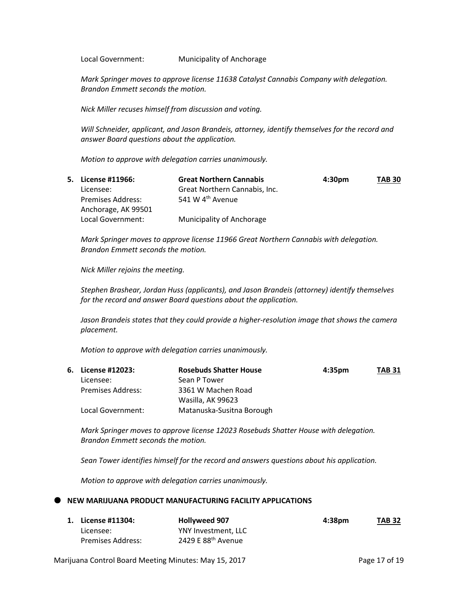Local Government: Municipality of Anchorage

*Mark Springer moves to approve license 11638 Catalyst Cannabis Company with delegation. Brandon Emmett seconds the motion.*

*Nick Miller recuses himself from discussion and voting.*

*Will Schneider, applicant, and Jason Brandeis, attorney, identify themselves for the record and answer Board questions about the application.*

*Motion to approve with delegation carries unanimously.*

| 5. License #11966:       | <b>Great Northern Cannabis</b> | 4:30 <sub>pm</sub> | <b>TAB 30</b> |
|--------------------------|--------------------------------|--------------------|---------------|
| Licensee:                | Great Northern Cannabis, Inc.  |                    |               |
| <b>Premises Address:</b> | 541 W 4 <sup>th</sup> Avenue   |                    |               |
| Anchorage, AK 99501      |                                |                    |               |
| Local Government:        | Municipality of Anchorage      |                    |               |

*Mark Springer moves to approve license 11966 Great Northern Cannabis with delegation. Brandon Emmett seconds the motion.*

*Nick Miller rejoins the meeting.*

*Stephen Brashear, Jordan Huss (applicants), and Jason Brandeis (attorney) identify themselves for the record and answer Board questions about the application.*

*Jason Brandeis states that they could provide a higher-resolution image that shows the camera placement.*

*Motion to approve with delegation carries unanimously.*

| 6. License #12023: | <b>Rosebuds Shatter House</b> | 4:35 <sub>pm</sub> | <b>TAB 31</b> |
|--------------------|-------------------------------|--------------------|---------------|
| Licensee:          | Sean P Tower                  |                    |               |
| Premises Address:  | 3361 W Machen Road            |                    |               |
|                    | Wasilla, AK 99623             |                    |               |
| Local Government:  | Matanuska-Susitna Borough     |                    |               |

*Mark Springer moves to approve license 12023 Rosebuds Shatter House with delegation. Brandon Emmett seconds the motion.*

*Sean Tower identifies himself for the record and answers questions about his application.*

*Motion to approve with delegation carries unanimously.*

#### **NEW MARIJUANA PRODUCT MANUFACTURING FACILITY APPLICATIONS**

| 1. License #11304: | <b>Hollyweed 907</b>           | 4:38pm | <b>TAB 32</b> |
|--------------------|--------------------------------|--------|---------------|
| Licensee:          | YNY Investment. LLC            |        |               |
| Premises Address:  | 2429 E 88 <sup>th</sup> Avenue |        |               |

Marijuana Control Board Meeting Minutes: May 15, 2017 **Page 17 of 19** Page 17 of 19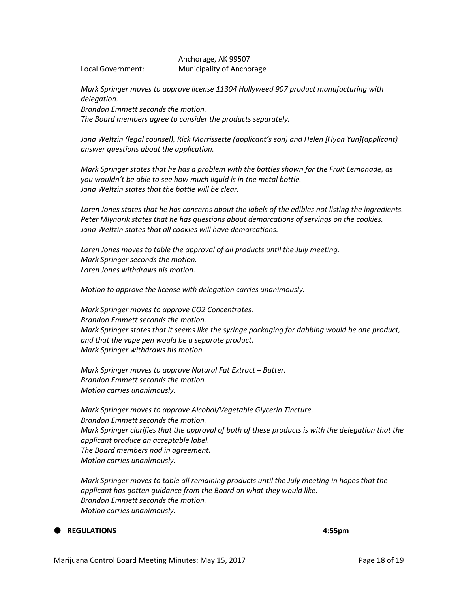Anchorage, AK 99507 Local Government: Municipality of Anchorage

*Mark Springer moves to approve license 11304 Hollyweed 907 product manufacturing with delegation. Brandon Emmett seconds the motion. The Board members agree to consider the products separately.*

Jana Weltzin (legal counsel), Rick Morrissette (applicant's son) and Helen [Hyon Yun](applicant) *answer questions about the application.*

*Mark Springer states that he has a problem with the bottles shown for the Fruit Lemonade, as you wouldn't be able to see how much liquid is in the metal bottle. Jana Weltzin states that the bottle will be clear.*

*Loren Jones states that he has concerns about the labels of the edibles not listing the ingredients. Peter Mlynarik states that he has questions about demarcations of servings on the cookies. Jana Weltzin states that all cookies will have demarcations.* 

*Loren Jones moves to table the approval of all products until the July meeting. Mark Springer seconds the motion. Loren Jones withdraws his motion.*

*Motion to approve the license with delegation carries unanimously.*

*Mark Springer moves to approve CO2 Concentrates. Brandon Emmett seconds the motion. Mark Springer states that it seems like the syringe packaging for dabbing would be one product, and that the vape pen would be a separate product. Mark Springer withdraws his motion.*

*Mark Springer moves to approve Natural Fat Extract – Butter. Brandon Emmett seconds the motion. Motion carries unanimously.*

*Mark Springer moves to approve Alcohol/Vegetable Glycerin Tincture. Brandon Emmett seconds the motion. Mark Springer clarifies that the approval of both of these products is with the delegation that the applicant produce an acceptable label. The Board members nod in agreement. Motion carries unanimously.* 

*Mark Springer moves to table all remaining products until the July meeting in hopes that the applicant has gotten guidance from the Board on what they would like. Brandon Emmett seconds the motion. Motion carries unanimously.*

## **REGULATIONS 4:55pm**